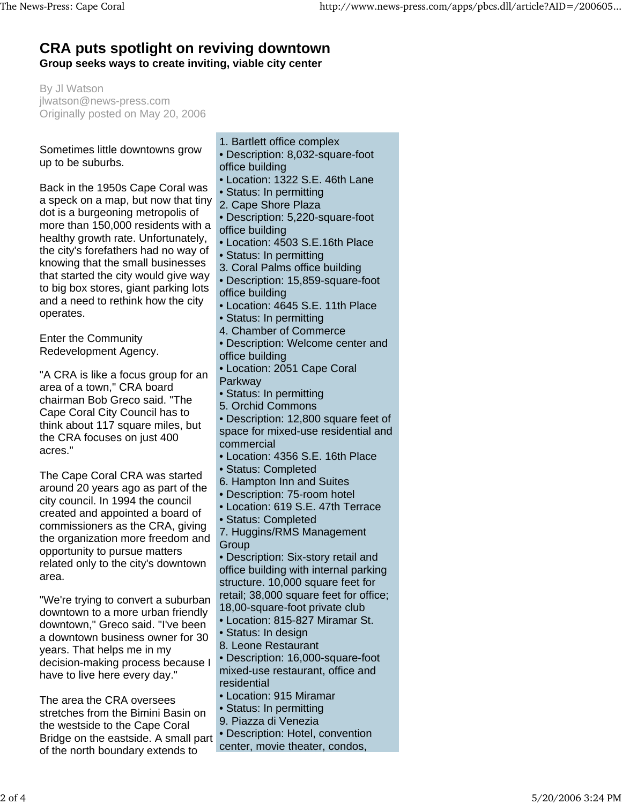## **CRA puts spotlight on reviving downtown Group seeks ways to create inviting, viable city center**

By Jl Watson jlwatson@news-press.com Originally posted on May 20, 2006

## Sometimes little downtowns grow up to be suburbs.

Back in the 1950s Cape Coral was a speck on a map, but now that tiny dot is a burgeoning metropolis of more than 150,000 residents with a healthy growth rate. Unfortunately, the city's forefathers had no way of knowing that the small businesses that started the city would give way to big box stores, giant parking lots and a need to rethink how the city operates.

Enter the Community Redevelopment Agency.

"A CRA is like a focus group for an area of a town," CRA board chairman Bob Greco said. "The Cape Coral City Council has to think about 117 square miles, but the CRA focuses on just 400 acres."

The Cape Coral CRA was started around 20 years ago as part of the city council. In 1994 the council created and appointed a board of commissioners as the CRA, giving the organization more freedom and opportunity to pursue matters related only to the city's downtown area.

"We're trying to convert a suburban downtown to a more urban friendly downtown," Greco said. "I've been a downtown business owner for 30 years. That helps me in my decision-making process because I have to live here every day."

The area the CRA oversees stretches from the Bimini Basin on the westside to the Cape Coral Bridge on the eastside. A small part of the north boundary extends to

- 1. Bartlett office complex
- Description: 8,032-square-foot office building
- Location: 1322 S.E. 46th Lane
- Status: In permitting
- 2. Cape Shore Plaza
- Description: 5,220-square-foot
- office building
- Location: 4503 S.E.16th Place
- Status: In permitting
- 3. Coral Palms office building
- Description: 15,859-square-foot office building
- Location: 4645 S.E. 11th Place
- Status: In permitting
- 4. Chamber of Commerce
- Description: Welcome center and office building
- Location: 2051 Cape Coral
- Parkway
- Status: In permitting
- 5. Orchid Commons
- Description: 12,800 square feet of space for mixed-use residential and commercial
- Location: 4356 S.E. 16th Place
- Status: Completed
- 6. Hampton Inn and Suites
- Description: 75-room hotel
- Location: 619 S.E. 47th Terrace
- Status: Completed
- 7. Huggins/RMS Management **Group**
- Description: Six-story retail and office building with internal parking structure. 10,000 square feet for retail; 38,000 square feet for office; 18,00-square-foot private club
- Location: 815-827 Miramar St.
- Status: In design
- 8. Leone Restaurant
- Description: 16,000-square-foot mixed-use restaurant, office and residential
- Location: 915 Miramar
- Status: In permitting
- 9. Piazza di Venezia
- Description: Hotel, convention
- center, movie theater, condos,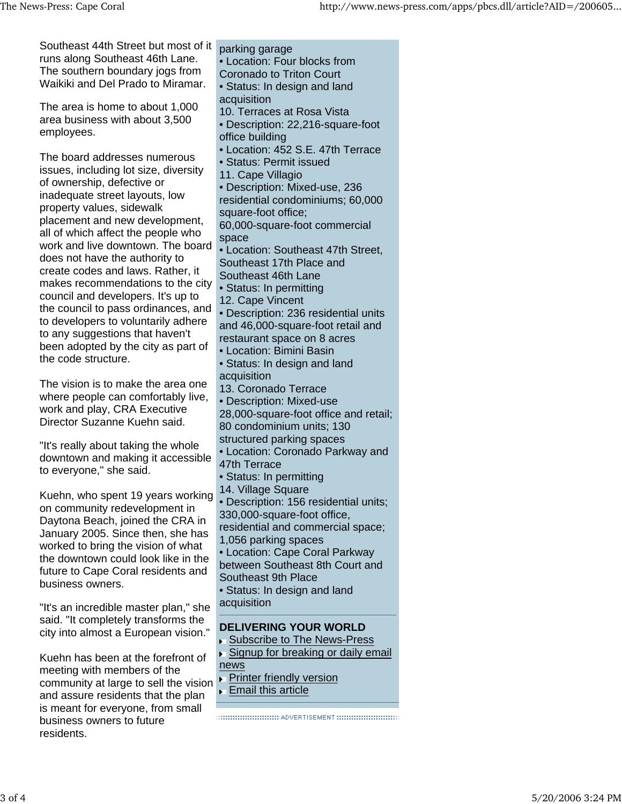parking garage • Location: Four blocks from Coronado to Triton Court • Status: In design and land acquisition 10. Terraces at Rosa Vista • Description: 22,216-square-foot office building • Location: 452 S.E. 47th Terrace • Status: Permit issued 11. Cape Villagio • Description: Mixed-use, 236 residential condominiums; 60,000 square-foot office; 60,000-square-foot commercial space • Location: Southeast 47th Street, Southeast 17th Place and Southeast 46th Lane • Status: In permitting 12. Cape Vincent • Description: 236 residential units and 46,000-square-foot retail and restaurant space on 8 acres • Location: Bimini Basin • Status: In design and land acquisition 13. Coronado Terrace • Description: Mixed-use 28,000-square-foot office and retail; 80 condominium units; 130 structured parking spaces • Location: Coronado Parkway and 47th Terrace • Status: In permitting 14. Village Square • Description: 156 residential units; 330,000-square-foot office, residential and commercial space; 1,056 parking spaces • Location: Cape Coral Parkway between Southeast 8th Court and Southeast 9th Place • Status: In design and land acquisition **DELIVERING YOUR WORLD** ▶ Subscribe to The News-Press ► Signup for breaking or daily email news Southeast 44th Street but most of it runs along Southeast 46th Lane. The southern boundary jogs from Waikiki and Del Prado to Miramar. The area is home to about 1,000 area business with about 3,500 employees. The board addresses numerous issues, including lot size, diversity of ownership, defective or inadequate street layouts, low property values, sidewalk placement and new development, all of which affect the people who work and live downtown. The board does not have the authority to create codes and laws. Rather, it makes recommendations to the city council and developers. It's up to the council to pass ordinances, and to developers to voluntarily adhere to any suggestions that haven't been adopted by the city as part of the code structure. The vision is to make the area one where people can comfortably live, work and play, CRA Executive Director Suzanne Kuehn said. "It's really about taking the whole downtown and making it accessible to everyone," she said. Kuehn, who spent 19 years working on community redevelopment in Daytona Beach, joined the CRA in January 2005. Since then, she has worked to bring the vision of what the downtown could look like in the future to Cape Coral residents and business owners. "It's an incredible master plan," she said. "It completely transforms the city into almost a European vision." Kuehn has been at the forefront of meeting with members of the

**Printer friendly version** community at large to sell the vision

**Email this article** 

and assure residents that the plan is meant for everyone, from small

business owners to future

residents.